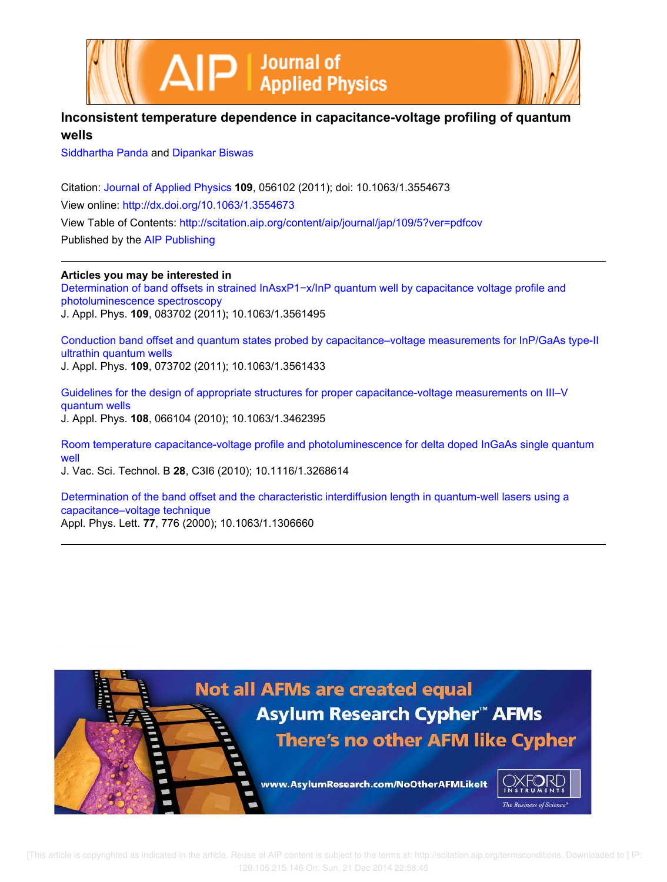



## **Inconsistent temperature dependence in capacitance-voltage profiling of quantum wells**

Siddhartha Panda and Dipankar Biswas

Citation: Journal of Applied Physics **109**, 056102 (2011); doi: 10.1063/1.3554673 View online: http://dx.doi.org/10.1063/1.3554673 View Table of Contents: http://scitation.aip.org/content/aip/journal/jap/109/5?ver=pdfcov Published by the AIP Publishing

**Articles you may be interested in**

Determination of band offsets in strained InAsxP1-x/InP quantum well by capacitance voltage profile and photoluminescence spectroscopy J. Appl. Phys. **109**, 083702 (2011); 10.1063/1.3561495

Conduction band offset and quantum states probed by capacitance–voltage measurements for InP/GaAs type-II ultrathin quantum wells J. Appl. Phys. **109**, 073702 (2011); 10.1063/1.3561433

Guidelines for the design of appropriate structures for proper capacitance-voltage measurements on III–V quantum wells J. Appl. Phys. **108**, 066104 (2010); 10.1063/1.3462395

Room temperature capacitance-voltage profile and photoluminescence for delta doped InGaAs single quantum well

J. Vac. Sci. Technol. B **28**, C3I6 (2010); 10.1116/1.3268614

Determination of the band offset and the characteristic interdiffusion length in quantum-well lasers using a capacitance–voltage technique Appl. Phys. Lett. **77**, 776 (2000); 10.1063/1.1306660

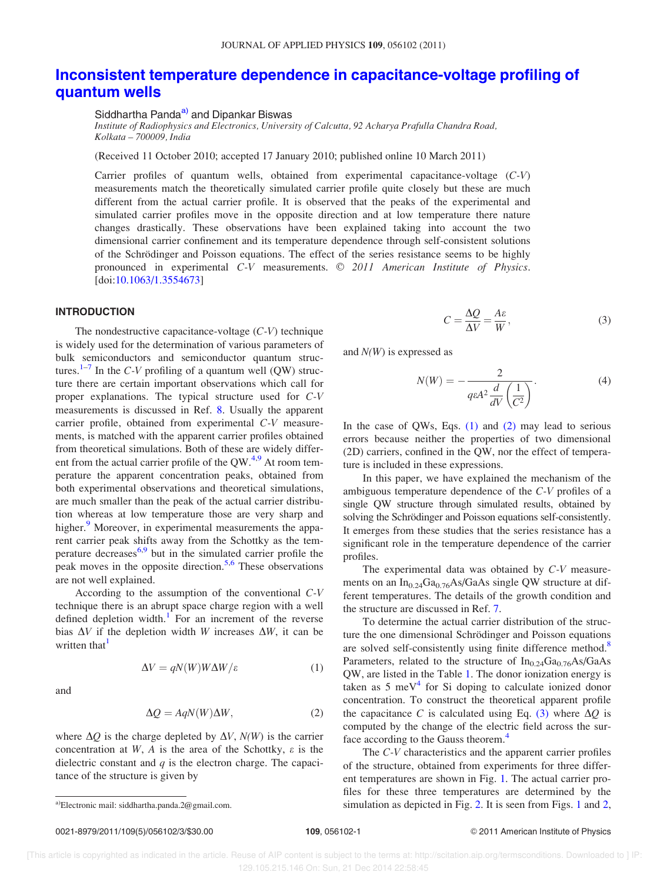## Inconsistent temperature dependence in capacitance-voltage profiling of quantum wells

Siddhartha Panda<sup>a)</sup> and Dipankar Biswas

Institute of Radiophysics and Electronics, University of Calcutta, 92 Acharya Prafulla Chandra Road, Kolkata – 700009, India

(Received 11 October 2010; accepted 17 January 2010; published online 10 March 2011)

Carrier profiles of quantum wells, obtained from experimental capacitance-voltage  $(C-V)$ measurements match the theoretically simulated carrier profile quite closely but these are much different from the actual carrier profile. It is observed that the peaks of the experimental and simulated carrier profiles move in the opposite direction and at low temperature there nature changes drastically. These observations have been explained taking into account the two dimensional carrier confinement and its temperature dependence through self-consistent solutions of the Schrödinger and Poisson equations. The effect of the series resistance seems to be highly pronounced in experimental  $C-V$  measurements.  $\odot$  2011 American Institute of Physics. [doi:10.1063/1.3554673]

## INTRODUCTION

The nondestructive capacitance-voltage  $(C-V)$  technique is widely used for the determination of various parameters of bulk semiconductors and semiconductor quantum structures.<sup>1–7</sup> In the C-V profiling of a quantum well (QW) structure there are certain important observations which call for proper explanations. The typical structure used for C-V measurements is discussed in Ref. 8. Usually the apparent carrier profile, obtained from experimental C-V measurements, is matched with the apparent carrier profiles obtained from theoretical simulations. Both of these are widely different from the actual carrier profile of the  $OW<sup>4,9</sup>$  At room temperature the apparent concentration peaks, obtained from both experimental observations and theoretical simulations, are much smaller than the peak of the actual carrier distribution whereas at low temperature those are very sharp and higher.<sup>9</sup> Moreover, in experimental measurements the apparent carrier peak shifts away from the Schottky as the temperature decreases<sup>6,9</sup> but in the simulated carrier profile the peak moves in the opposite direction.<sup>5,6</sup> These observations are not well explained.

According to the assumption of the conventional C-V technique there is an abrupt space charge region with a well defined depletion width. $1$  For an increment of the reverse bias  $\Delta V$  if the depletion width W increases  $\Delta W$ , it can be written that<sup>1</sup>

$$
\Delta V = qN(W)W\Delta W/\varepsilon \tag{1}
$$

and

$$
\Delta Q = A q N(W) \Delta W, \tag{2}
$$

where  $\Delta Q$  is the charge depleted by  $\Delta V$ ,  $N(W)$  is the carrier concentration at W, A is the area of the Schottky,  $\varepsilon$  is the dielectric constant and  $q$  is the electron charge. The capacitance of the structure is given by

$$
0021-8979/2011/109(5)/056102/3/\$30.00
$$

$$
C = \frac{\Delta Q}{\Delta V} = \frac{A\varepsilon}{W},\tag{3}
$$

and  $N(W)$  is expressed as

$$
N(W) = -\frac{2}{q\varepsilon A^2 \frac{d}{dV} \left(\frac{1}{C^2}\right)}.
$$
 (4)

In the case of QWs, Eqs.  $(1)$  and  $(2)$  may lead to serious errors because neither the properties of two dimensional (2D) carriers, confined in the QW, nor the effect of temperature is included in these expressions.

In this paper, we have explained the mechanism of the ambiguous temperature dependence of the C-V profiles of a single QW structure through simulated results, obtained by solving the Schrödinger and Poisson equations self-consistently. It emerges from these studies that the series resistance has a significant role in the temperature dependence of the carrier profiles.

The experimental data was obtained by C-V measurements on an  $In_{0.24}Ga_{0.76}As/GaAs$  single QW structure at different temperatures. The details of the growth condition and the structure are discussed in Ref. 7.

To determine the actual carrier distribution of the structure the one dimensional Schrödinger and Poisson equations are solved self-consistently using finite difference method.<sup>8</sup> Parameters, related to the structure of  $In_{0.24}Ga_{0.76}As/GaAs$ QW, are listed in the Table 1. The donor ionization energy is taken as  $5 \text{ meV}^4$  for Si doping to calculate ionized donor concentration. To construct the theoretical apparent profile the capacitance C is calculated using Eq. (3) where  $\Delta Q$  is computed by the change of the electric field across the surface according to the Gauss theorem.<sup>4</sup>

The C-V characteristics and the apparent carrier profiles of the structure, obtained from experiments for three different temperatures are shown in Fig. 1. The actual carrier profiles for these three temperatures are determined by the simulation as depicted in Fig. 2. It is seen from Figs. 1 and 2,

a)Electronic mail: siddhartha.panda.2@gmail.com.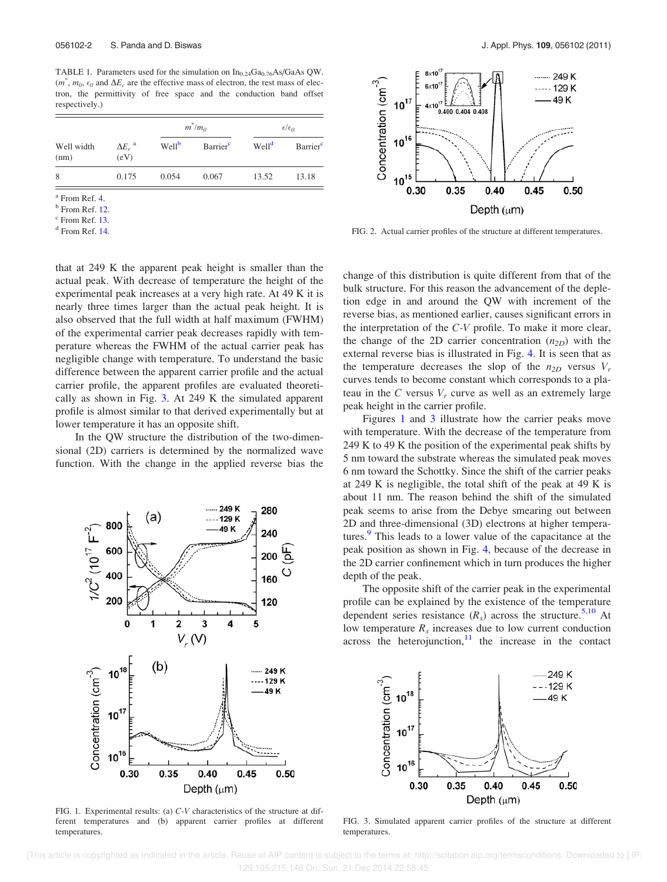TABLE 1. Parameters used for the simulation on  $In_{0.24}Ga_{0.76}As/GaAs QW$ .  $(m^*, m_0, \epsilon_0)$  and  $\Delta E_c$  are the effective mass of electron, the rest mass of electron, the permittivity of free space and the conduction band offset respectively.)

| Well width<br>(nm) | $\Delta E_c$ <sup>a</sup><br>(eV) | $m^*/m_0$         |                      | $\epsilon/\epsilon_0$ |         |
|--------------------|-----------------------------------|-------------------|----------------------|-----------------------|---------|
|                    |                                   | Well <sup>b</sup> | Barrier <sup>c</sup> | Well <sup>d</sup>     | Barrier |
| 8                  | 0.175                             | 0.054             | 0.067                | 13.52                 | 13.18   |

a From Ref. 4.

<sup>b</sup> From Ref. 12.

<sup>c</sup> From Ref. 13.

d From Ref. 14.

that at 249 K the apparent peak height is smaller than the actual peak. With decrease of temperature the height of the experimental peak increases at a very high rate. At 49 K it is nearly three times larger than the actual peak height. It is also observed that the full width at half maximum (FWHM) of the experimental carrier peak decreases rapidly with temperature whereas the FWHM of the actual carrier peak has negligible change with temperature. To understand the basic difference between the apparent carrier profile and the actual carrier profile, the apparent profiles are evaluated theoretically as shown in Fig. 3. At 249 K the simulated apparent profile is almost similar to that derived experimentally but at lower temperature it has an opposite shift.

In the QW structure the distribution of the two-dimensional (2D) carriers is determined by the normalized wave function. With the change in the applied reverse bias the



FIG. 1. Experimental results: (a) C-V characteristics of the structure at different temperatures and (b) apparent carrier profiles at different temperatures.



FIG. 2. Actual carrier profiles of the structure at different temperatures.

change of this distribution is quite different from that of the bulk structure. For this reason the advancement of the depletion edge in and around the QW with increment of the reverse bias, as mentioned earlier, causes significant errors in the interpretation of the C-V profile. To make it more clear, the change of the 2D carrier concentration  $(n_{2D})$  with the external reverse bias is illustrated in Fig. 4. It is seen that as the temperature decreases the slop of the  $n_{2D}$  versus  $V_r$ curves tends to become constant which corresponds to a plateau in the C versus  $V_r$  curve as well as an extremely large peak height in the carrier profile.

Figures 1 and 3 illustrate how the carrier peaks move with temperature. With the decrease of the temperature from 249 K to 49 K the position of the experimental peak shifts by 5 nm toward the substrate whereas the simulated peak moves 6 nm toward the Schottky. Since the shift of the carrier peaks at 249 K is negligible, the total shift of the peak at 49 K is about 11 nm. The reason behind the shift of the simulated peak seems to arise from the Debye smearing out between 2D and three-dimensional (3D) electrons at higher temperatures.<sup>9</sup> This leads to a lower value of the capacitance at the peak position as shown in Fig. 4, because of the decrease in the 2D carrier confinement which in turn produces the higher depth of the peak.

The opposite shift of the carrier peak in the experimental profile can be explained by the existence of the temperature dependent series resistance  $(R_s)$  across the structure.<sup>5,10</sup> At low temperature  $R_s$  increases due to low current conduction across the heterojunction, $11$  the increase in the contact



FIG. 3. Simulated apparent carrier profiles of the structure at different temperatures.

 [This article is copyrighted as indicated in the article. Reuse of AIP content is subject to the terms at: http://scitation.aip.org/termsconditions. Downloaded to ] IP: 129.105.215.146 On: Sun, 21 Dec 2014 22:58:45